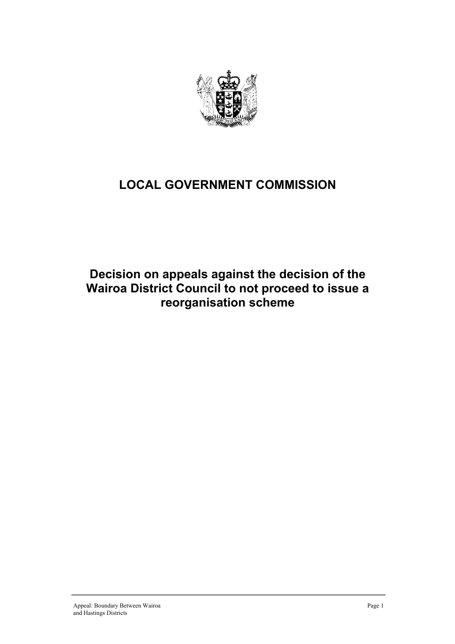

# **LOCAL GOVERNMENT COMMISSION**

## **Decision on appeals against the decision of the Wairoa District Council to not proceed to issue a reorganisation scheme**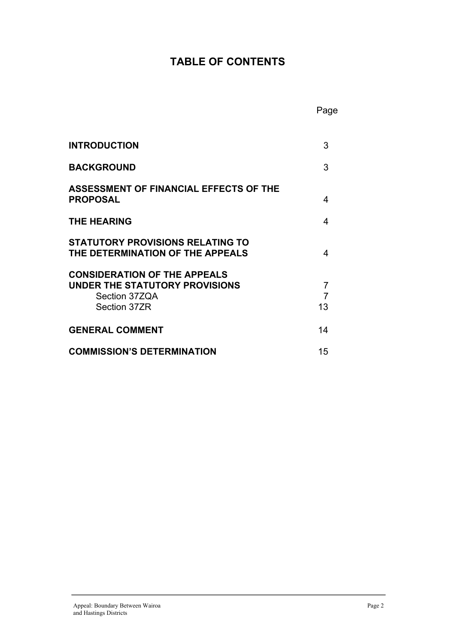## **TABLE OF CONTENTS**

| <b>INTRODUCTION</b>                                                                                    | 3            |
|--------------------------------------------------------------------------------------------------------|--------------|
| <b>BACKGROUND</b>                                                                                      | 3            |
| <b>ASSESSMENT OF FINANCIAL EFFECTS OF THE</b><br><b>PROPOSAL</b>                                       | 4            |
| <b>THE HEARING</b>                                                                                     | 4            |
| <b>STATUTORY PROVISIONS RELATING TO</b><br>THE DETERMINATION OF THE APPEALS                            | 4            |
| <b>CONSIDERATION OF THE APPEALS</b><br>UNDER THE STATUTORY PROVISIONS<br>Section 37ZQA<br>Section 37ZR | 7<br>7<br>13 |
| <b>GENERAL COMMENT</b>                                                                                 | 14           |
| <b>COMMISSION'S DETERMINATION</b>                                                                      | 15           |

**Page 2012 - Page 2013** - Page 2014 - Page 2014 - Page 2014 - Page 2014 - Page 2014 - Page 2014 - Page 2014 - Page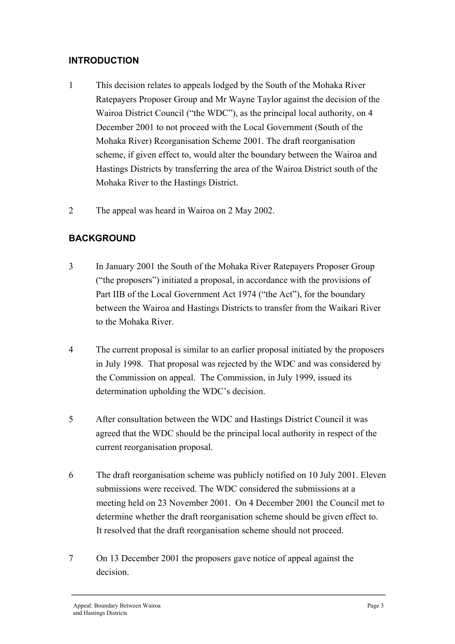#### **INTRODUCTION**

- 1 This decision relates to appeals lodged by the South of the Mohaka River Ratepayers Proposer Group and Mr Wayne Taylor against the decision of the Wairoa District Council ("the WDC"), as the principal local authority, on 4 December 2001 to not proceed with the Local Government (South of the Mohaka River) Reorganisation Scheme 2001. The draft reorganisation scheme, if given effect to, would alter the boundary between the Wairoa and Hastings Districts by transferring the area of the Wairoa District south of the Mohaka River to the Hastings District.
- 2 The appeal was heard in Wairoa on 2 May 2002.

#### **BACKGROUND**

- 3 In January 2001 the South of the Mohaka River Ratepayers Proposer Group ("the proposers") initiated a proposal, in accordance with the provisions of Part IIB of the Local Government Act 1974 ("the Act"), for the boundary between the Wairoa and Hastings Districts to transfer from the Waikari River to the Mohaka River.
- 4 The current proposal is similar to an earlier proposal initiated by the proposers in July 1998. That proposal was rejected by the WDC and was considered by the Commission on appeal. The Commission, in July 1999, issued its determination upholding the WDC's decision.
- 5 After consultation between the WDC and Hastings District Council it was agreed that the WDC should be the principal local authority in respect of the current reorganisation proposal.
- 6 The draft reorganisation scheme was publicly notified on 10 July 2001. Eleven submissions were received. The WDC considered the submissions at a meeting held on 23 November 2001. On 4 December 2001 the Council met to determine whether the draft reorganisation scheme should be given effect to. It resolved that the draft reorganisation scheme should not proceed.
- 7 On 13 December 2001 the proposers gave notice of appeal against the decision.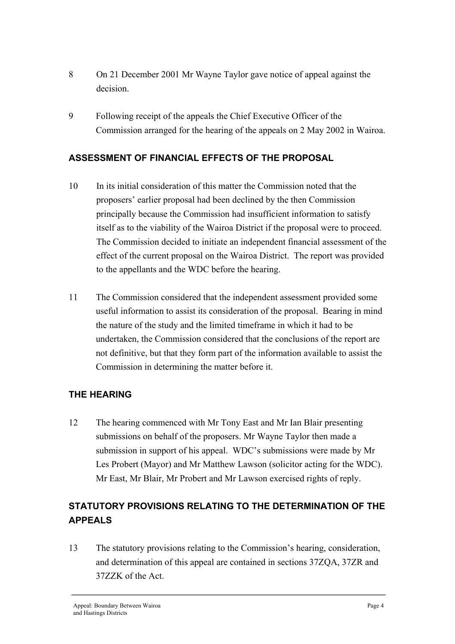- 8 On 21 December 2001 Mr Wayne Taylor gave notice of appeal against the decision.
- 9 Following receipt of the appeals the Chief Executive Officer of the Commission arranged for the hearing of the appeals on 2 May 2002 in Wairoa.

#### **ASSESSMENT OF FINANCIAL EFFECTS OF THE PROPOSAL**

- 10 In its initial consideration of this matter the Commission noted that the proposers' earlier proposal had been declined by the then Commission principally because the Commission had insufficient information to satisfy itself as to the viability of the Wairoa District if the proposal were to proceed. The Commission decided to initiate an independent financial assessment of the effect of the current proposal on the Wairoa District. The report was provided to the appellants and the WDC before the hearing.
- 11 The Commission considered that the independent assessment provided some useful information to assist its consideration of the proposal. Bearing in mind the nature of the study and the limited timeframe in which it had to be undertaken, the Commission considered that the conclusions of the report are not definitive, but that they form part of the information available to assist the Commission in determining the matter before it.

#### **THE HEARING**

12 The hearing commenced with Mr Tony East and Mr Ian Blair presenting submissions on behalf of the proposers. Mr Wayne Taylor then made a submission in support of his appeal. WDC's submissions were made by Mr Les Probert (Mayor) and Mr Matthew Lawson (solicitor acting for the WDC). Mr East, Mr Blair, Mr Probert and Mr Lawson exercised rights of reply.

## **STATUTORY PROVISIONS RELATING TO THE DETERMINATION OF THE APPEALS**

13 The statutory provisions relating to the Commission's hearing, consideration, and determination of this appeal are contained in sections 37ZQA, 37ZR and 37ZZK of the Act.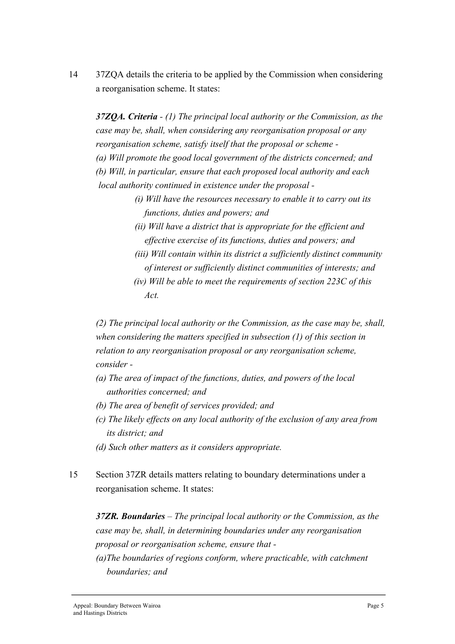14 37ZQA details the criteria to be applied by the Commission when considering a reorganisation scheme. It states:

*37ZQA. Criteria - (1) The principal local authority or the Commission, as the case may be, shall, when considering any reorganisation proposal or any reorganisation scheme, satisfy itself that the proposal or scheme - (a) Will promote the good local government of the districts concerned; and (b) Will, in particular, ensure that each proposed local authority and each local authority continued in existence under the proposal -*

> *(i) Will have the resources necessary to enable it to carry out its functions, duties and powers; and*

*(ii) Will have a district that is appropriate for the efficient and effective exercise of its functions, duties and powers; and* 

- *(iii) Will contain within its district a sufficiently distinct community of interest or sufficiently distinct communities of interests; and*
- *(iv) Will be able to meet the requirements of section 223C of this Act.*

*(2) The principal local authority or the Commission, as the case may be, shall, when considering the matters specified in subsection (1) of this section in relation to any reorganisation proposal or any reorganisation scheme, consider -* 

- *(a) The area of impact of the functions, duties, and powers of the local authorities concerned; and*
- *(b) The area of benefit of services provided; and*
- *(c) The likely effects on any local authority of the exclusion of any area from its district; and*
- *(d) Such other matters as it considers appropriate.*
- 15 Section 37ZR details matters relating to boundary determinations under a reorganisation scheme. It states:

*37ZR. Boundaries* – *The principal local authority or the Commission, as the case may be, shall, in determining boundaries under any reorganisation proposal or reorganisation scheme, ensure that -* 

*(a)The boundaries of regions conform, where practicable, with catchment boundaries; and*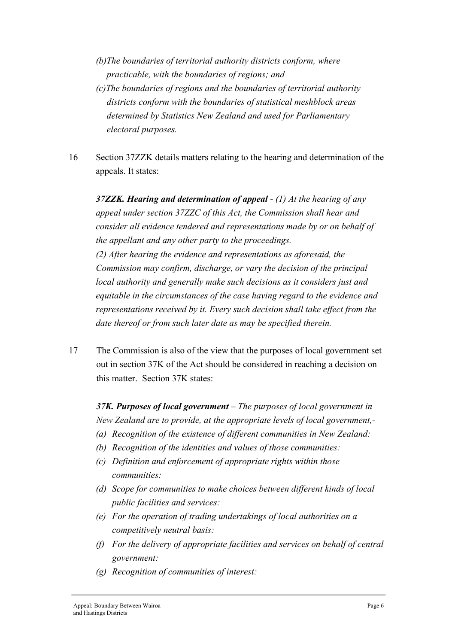- *(b)The boundaries of territorial authority districts conform, where practicable, with the boundaries of regions; and*
- *(c)The boundaries of regions and the boundaries of territorial authority districts conform with the boundaries of statistical meshblock areas determined by Statistics New Zealand and used for Parliamentary electoral purposes.*
- 16 Section 37ZZK details matters relating to the hearing and determination of the appeals. It states:

*37ZZK. Hearing and determination of appeal* - *(1) At the hearing of any appeal under section 37ZZC of this Act, the Commission shall hear and consider all evidence tendered and representations made by or on behalf of the appellant and any other party to the proceedings. (2) After hearing the evidence and representations as aforesaid, the Commission may confirm, discharge, or vary the decision of the principal local authority and generally make such decisions as it considers just and equitable in the circumstances of the case having regard to the evidence and representations received by it. Every such decision shall take effect from the date thereof or from such later date as may be specified therein.* 

17 The Commission is also of the view that the purposes of local government set out in section 37K of the Act should be considered in reaching a decision on this matter. Section 37K states:

*37K. Purposes of local government – The purposes of local government in New Zealand are to provide, at the appropriate levels of local government,-* 

- *(a) Recognition of the existence of different communities in New Zealand:*
- *(b) Recognition of the identities and values of those communities:*
- *(c) Definition and enforcement of appropriate rights within those communities:*
- *(d) Scope for communities to make choices between different kinds of local public facilities and services:*
- *(e) For the operation of trading undertakings of local authorities on a competitively neutral basis:*
- *(f) For the delivery of appropriate facilities and services on behalf of central government:*
- *(g) Recognition of communities of interest:*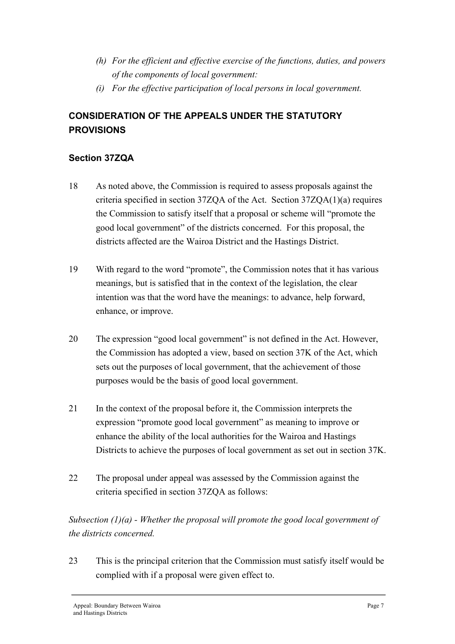- *(h) For the efficient and effective exercise of the functions, duties, and powers of the components of local government:*
- *(i) For the effective participation of local persons in local government.*

### **CONSIDERATION OF THE APPEALS UNDER THE STATUTORY PROVISIONS**

#### **Section 37ZQA**

- 18 As noted above, the Commission is required to assess proposals against the criteria specified in section 37ZQA of the Act. Section 37ZQA $(1)(a)$  requires the Commission to satisfy itself that a proposal or scheme will "promote the good local government" of the districts concerned. For this proposal, the districts affected are the Wairoa District and the Hastings District.
- 19 With regard to the word "promote", the Commission notes that it has various meanings, but is satisfied that in the context of the legislation, the clear intention was that the word have the meanings: to advance, help forward, enhance, or improve.
- 20 The expression "good local government" is not defined in the Act. However, the Commission has adopted a view, based on section 37K of the Act, which sets out the purposes of local government, that the achievement of those purposes would be the basis of good local government.
- 21 In the context of the proposal before it, the Commission interprets the expression "promote good local government" as meaning to improve or enhance the ability of the local authorities for the Wairoa and Hastings Districts to achieve the purposes of local government as set out in section 37K.
- 22 The proposal under appeal was assessed by the Commission against the criteria specified in section 37ZQA as follows:

### *Subsection (1)(a) - Whether the proposal will promote the good local government of the districts concerned.*

23 This is the principal criterion that the Commission must satisfy itself would be complied with if a proposal were given effect to.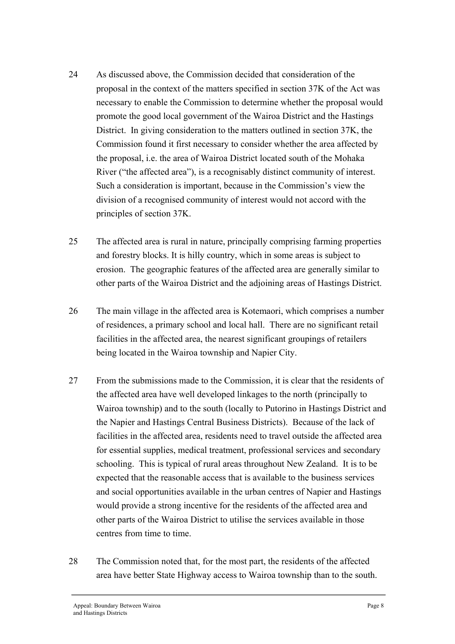- 24 As discussed above, the Commission decided that consideration of the proposal in the context of the matters specified in section 37K of the Act was necessary to enable the Commission to determine whether the proposal would promote the good local government of the Wairoa District and the Hastings District. In giving consideration to the matters outlined in section 37K, the Commission found it first necessary to consider whether the area affected by the proposal, i.e. the area of Wairoa District located south of the Mohaka River ("the affected area"), is a recognisably distinct community of interest. Such a consideration is important, because in the Commission's view the division of a recognised community of interest would not accord with the principles of section 37K.
- 25 The affected area is rural in nature, principally comprising farming properties and forestry blocks. It is hilly country, which in some areas is subject to erosion. The geographic features of the affected area are generally similar to other parts of the Wairoa District and the adjoining areas of Hastings District.
- 26 The main village in the affected area is Kotemaori, which comprises a number of residences, a primary school and local hall. There are no significant retail facilities in the affected area, the nearest significant groupings of retailers being located in the Wairoa township and Napier City.
- 27 From the submissions made to the Commission, it is clear that the residents of the affected area have well developed linkages to the north (principally to Wairoa township) and to the south (locally to Putorino in Hastings District and the Napier and Hastings Central Business Districts). Because of the lack of facilities in the affected area, residents need to travel outside the affected area for essential supplies, medical treatment, professional services and secondary schooling. This is typical of rural areas throughout New Zealand. It is to be expected that the reasonable access that is available to the business services and social opportunities available in the urban centres of Napier and Hastings would provide a strong incentive for the residents of the affected area and other parts of the Wairoa District to utilise the services available in those centres from time to time.
- 28 The Commission noted that, for the most part, the residents of the affected area have better State Highway access to Wairoa township than to the south.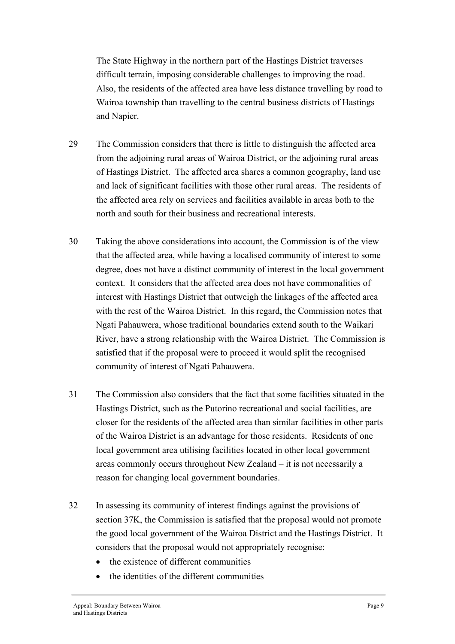The State Highway in the northern part of the Hastings District traverses difficult terrain, imposing considerable challenges to improving the road. Also, the residents of the affected area have less distance travelling by road to Wairoa township than travelling to the central business districts of Hastings and Napier.

- 29 The Commission considers that there is little to distinguish the affected area from the adjoining rural areas of Wairoa District, or the adjoining rural areas of Hastings District. The affected area shares a common geography, land use and lack of significant facilities with those other rural areas. The residents of the affected area rely on services and facilities available in areas both to the north and south for their business and recreational interests.
- 30 Taking the above considerations into account, the Commission is of the view that the affected area, while having a localised community of interest to some degree, does not have a distinct community of interest in the local government context. It considers that the affected area does not have commonalities of interest with Hastings District that outweigh the linkages of the affected area with the rest of the Wairoa District. In this regard, the Commission notes that Ngati Pahauwera, whose traditional boundaries extend south to the Waikari River, have a strong relationship with the Wairoa District. The Commission is satisfied that if the proposal were to proceed it would split the recognised community of interest of Ngati Pahauwera.
- 31 The Commission also considers that the fact that some facilities situated in the Hastings District, such as the Putorino recreational and social facilities, are closer for the residents of the affected area than similar facilities in other parts of the Wairoa District is an advantage for those residents. Residents of one local government area utilising facilities located in other local government areas commonly occurs throughout New Zealand – it is not necessarily a reason for changing local government boundaries.
- 32 In assessing its community of interest findings against the provisions of section 37K, the Commission is satisfied that the proposal would not promote the good local government of the Wairoa District and the Hastings District. It considers that the proposal would not appropriately recognise:
	- the existence of different communities
	- the identities of the different communities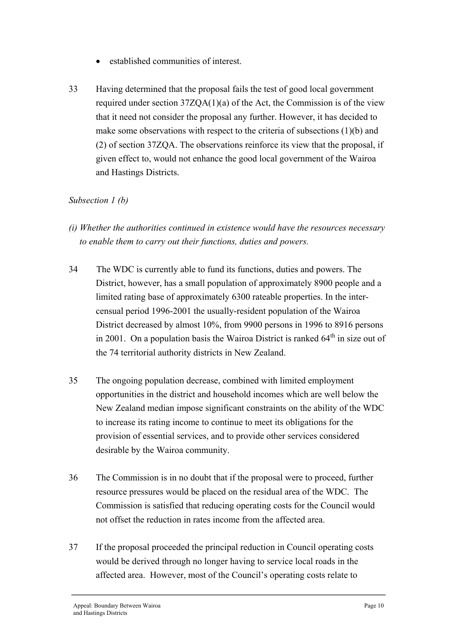- established communities of interest.
- 33 Having determined that the proposal fails the test of good local government required under section 37ZQA(1)(a) of the Act, the Commission is of the view that it need not consider the proposal any further. However, it has decided to make some observations with respect to the criteria of subsections (1)(b) and (2) of section 37ZQA. The observations reinforce its view that the proposal, if given effect to, would not enhance the good local government of the Wairoa and Hastings Districts.

#### *Subsection 1 (b)*

- *(i) Whether the authorities continued in existence would have the resources necessary to enable them to carry out their functions, duties and powers.*
- 34 The WDC is currently able to fund its functions, duties and powers. The District, however, has a small population of approximately 8900 people and a limited rating base of approximately 6300 rateable properties. In the intercensual period 1996-2001 the usually-resident population of the Wairoa District decreased by almost 10%, from 9900 persons in 1996 to 8916 persons in 2001. On a population basis the Wairoa District is ranked  $64<sup>th</sup>$  in size out of the 74 territorial authority districts in New Zealand.
- 35 The ongoing population decrease, combined with limited employment opportunities in the district and household incomes which are well below the New Zealand median impose significant constraints on the ability of the WDC to increase its rating income to continue to meet its obligations for the provision of essential services, and to provide other services considered desirable by the Wairoa community.
- 36 The Commission is in no doubt that if the proposal were to proceed, further resource pressures would be placed on the residual area of the WDC. The Commission is satisfied that reducing operating costs for the Council would not offset the reduction in rates income from the affected area.
- 37 If the proposal proceeded the principal reduction in Council operating costs would be derived through no longer having to service local roads in the affected area. However, most of the Council's operating costs relate to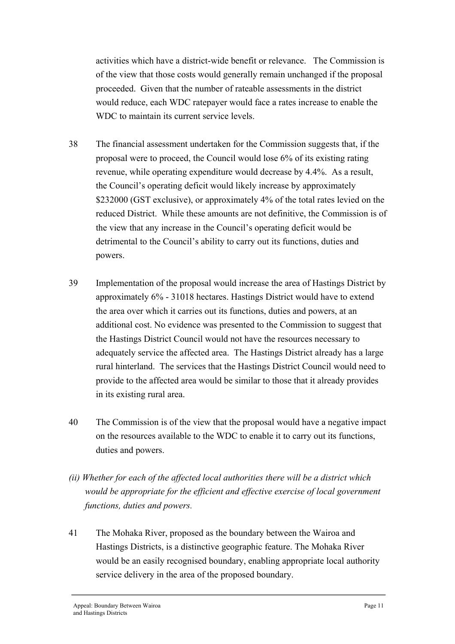activities which have a district-wide benefit or relevance. The Commission is of the view that those costs would generally remain unchanged if the proposal proceeded. Given that the number of rateable assessments in the district would reduce, each WDC ratepayer would face a rates increase to enable the WDC to maintain its current service levels.

- 38 The financial assessment undertaken for the Commission suggests that, if the proposal were to proceed, the Council would lose 6% of its existing rating revenue, while operating expenditure would decrease by 4.4%. As a result, the Council's operating deficit would likely increase by approximately \$232000 (GST exclusive), or approximately 4% of the total rates levied on the reduced District. While these amounts are not definitive, the Commission is of the view that any increase in the Council's operating deficit would be detrimental to the Council's ability to carry out its functions, duties and powers.
- 39 Implementation of the proposal would increase the area of Hastings District by approximately 6% - 31018 hectares. Hastings District would have to extend the area over which it carries out its functions, duties and powers, at an additional cost. No evidence was presented to the Commission to suggest that the Hastings District Council would not have the resources necessary to adequately service the affected area. The Hastings District already has a large rural hinterland. The services that the Hastings District Council would need to provide to the affected area would be similar to those that it already provides in its existing rural area.
- 40 The Commission is of the view that the proposal would have a negative impact on the resources available to the WDC to enable it to carry out its functions, duties and powers.
- *(ii) Whether for each of the affected local authorities there will be a district which would be appropriate for the efficient and effective exercise of local government functions, duties and powers.*
- 41 The Mohaka River, proposed as the boundary between the Wairoa and Hastings Districts, is a distinctive geographic feature. The Mohaka River would be an easily recognised boundary, enabling appropriate local authority service delivery in the area of the proposed boundary.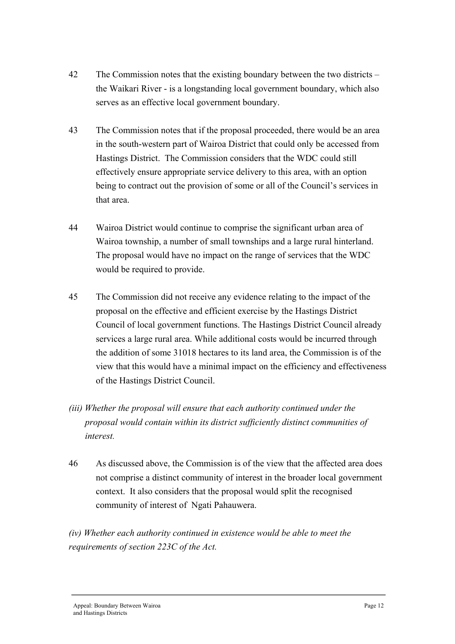- 42 The Commission notes that the existing boundary between the two districts the Waikari River - is a longstanding local government boundary, which also serves as an effective local government boundary.
- 43 The Commission notes that if the proposal proceeded, there would be an area in the south-western part of Wairoa District that could only be accessed from Hastings District. The Commission considers that the WDC could still effectively ensure appropriate service delivery to this area, with an option being to contract out the provision of some or all of the Council's services in that area.
- 44 Wairoa District would continue to comprise the significant urban area of Wairoa township, a number of small townships and a large rural hinterland. The proposal would have no impact on the range of services that the WDC would be required to provide.
- 45 The Commission did not receive any evidence relating to the impact of the proposal on the effective and efficient exercise by the Hastings District Council of local government functions. The Hastings District Council already services a large rural area. While additional costs would be incurred through the addition of some 31018 hectares to its land area, the Commission is of the view that this would have a minimal impact on the efficiency and effectiveness of the Hastings District Council.
- *(iii) Whether the proposal will ensure that each authority continued under the proposal would contain within its district sufficiently distinct communities of interest.*
- 46 As discussed above, the Commission is of the view that the affected area does not comprise a distinct community of interest in the broader local government context. It also considers that the proposal would split the recognised community of interest of Ngati Pahauwera.

*(iv) Whether each authority continued in existence would be able to meet the requirements of section 223C of the Act.*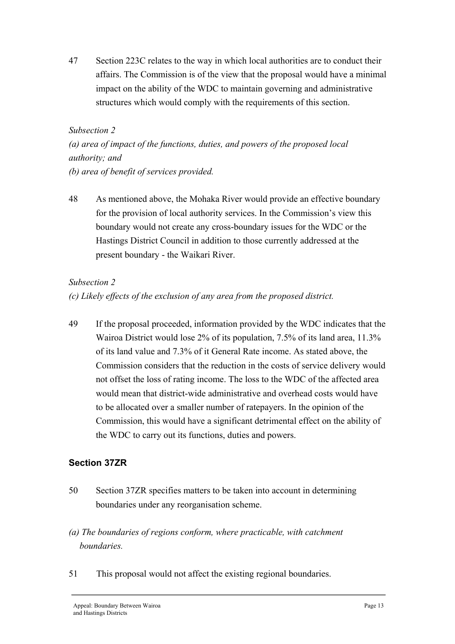47 Section 223C relates to the way in which local authorities are to conduct their affairs. The Commission is of the view that the proposal would have a minimal impact on the ability of the WDC to maintain governing and administrative structures which would comply with the requirements of this section.

#### *Subsection 2*

*(a) area of impact of the functions, duties, and powers of the proposed local authority; and (b) area of benefit of services provided.* 

48 As mentioned above, the Mohaka River would provide an effective boundary for the provision of local authority services. In the Commission's view this boundary would not create any cross-boundary issues for the WDC or the Hastings District Council in addition to those currently addressed at the present boundary - the Waikari River.

#### *Subsection 2*

*(c) Likely effects of the exclusion of any area from the proposed district.* 

49 If the proposal proceeded, information provided by the WDC indicates that the Wairoa District would lose 2% of its population, 7.5% of its land area, 11.3% of its land value and 7.3% of it General Rate income. As stated above, the Commission considers that the reduction in the costs of service delivery would not offset the loss of rating income. The loss to the WDC of the affected area would mean that district-wide administrative and overhead costs would have to be allocated over a smaller number of ratepayers. In the opinion of the Commission, this would have a significant detrimental effect on the ability of the WDC to carry out its functions, duties and powers.

#### **Section 37ZR**

- 50 Section 37ZR specifies matters to be taken into account in determining boundaries under any reorganisation scheme.
- *(a) The boundaries of regions conform, where practicable, with catchment boundaries.*
- 51 This proposal would not affect the existing regional boundaries.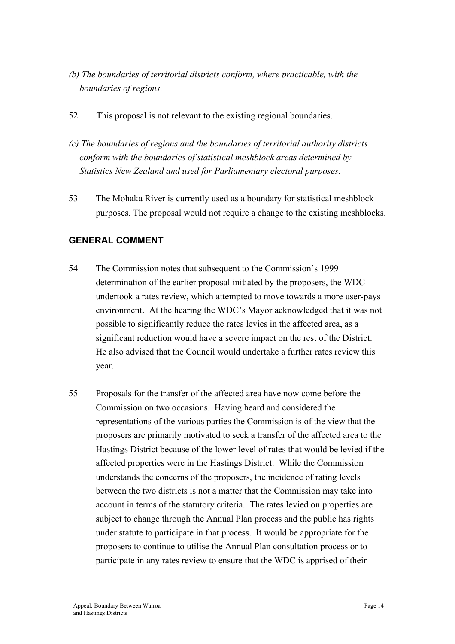- *(b) The boundaries of territorial districts conform, where practicable, with the boundaries of regions.*
- 52 This proposal is not relevant to the existing regional boundaries.
- *(c) The boundaries of regions and the boundaries of territorial authority districts conform with the boundaries of statistical meshblock areas determined by Statistics New Zealand and used for Parliamentary electoral purposes.*
- 53 The Mohaka River is currently used as a boundary for statistical meshblock purposes. The proposal would not require a change to the existing meshblocks.

#### **GENERAL COMMENT**

- 54 The Commission notes that subsequent to the Commission's 1999 determination of the earlier proposal initiated by the proposers, the WDC undertook a rates review, which attempted to move towards a more user-pays environment. At the hearing the WDC's Mayor acknowledged that it was not possible to significantly reduce the rates levies in the affected area, as a significant reduction would have a severe impact on the rest of the District. He also advised that the Council would undertake a further rates review this year.
- 55 Proposals for the transfer of the affected area have now come before the Commission on two occasions. Having heard and considered the representations of the various parties the Commission is of the view that the proposers are primarily motivated to seek a transfer of the affected area to the Hastings District because of the lower level of rates that would be levied if the affected properties were in the Hastings District. While the Commission understands the concerns of the proposers, the incidence of rating levels between the two districts is not a matter that the Commission may take into account in terms of the statutory criteria. The rates levied on properties are subject to change through the Annual Plan process and the public has rights under statute to participate in that process. It would be appropriate for the proposers to continue to utilise the Annual Plan consultation process or to participate in any rates review to ensure that the WDC is apprised of their